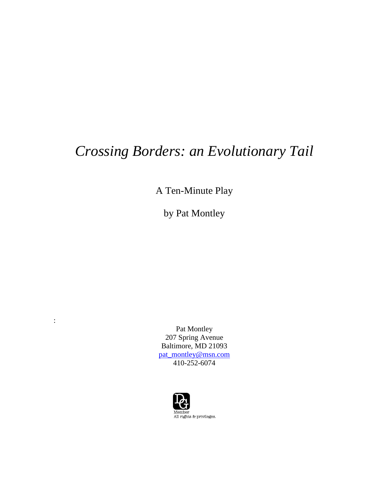# *Crossing Borders: an Evolutionary Tail*

A Ten-Minute Play

by Pat Montley

Pat Montley 207 Spring Avenue Baltimore, MD 21093 [pat\\_montley@msn.com](mailto:pat_montley@msn.com) 410-252-6074

:

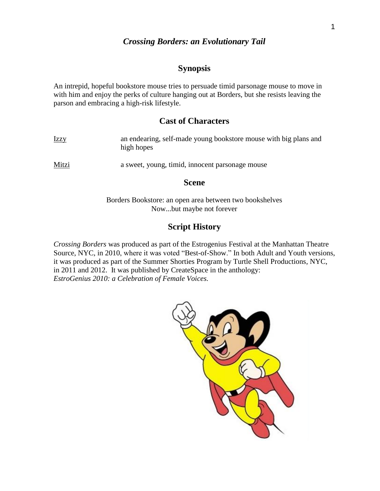# *Crossing Borders: an Evolutionary Tail*

# **Synopsis**

An intrepid, hopeful bookstore mouse tries to persuade timid parsonage mouse to move in with him and enjoy the perks of culture hanging out at Borders, but she resists leaving the parson and embracing a high-risk lifestyle.

# **Cast of Characters**

| <u>Izzy</u> | an endearing, self-made young bookstore mouse with big plans and<br>high hopes |
|-------------|--------------------------------------------------------------------------------|
| Mitzi       | a sweet, young, timid, innocent parsonage mouse                                |

#### **Scene**

Borders Bookstore: an open area between two bookshelves Now...but maybe not forever

# **Script History**

*Crossing Borders* was produced as part of the Estrogenius Festival at the Manhattan Theatre Source, NYC, in 2010, where it was voted "Best-of-Show." In both Adult and Youth versions, it was produced as part of the Summer Shorties Program by Turtle Shell Productions, NYC, in 2011 and 2012. It was published by CreateSpace in the anthology: *EstroGenius 2010: a Celebration of Female Voices.*

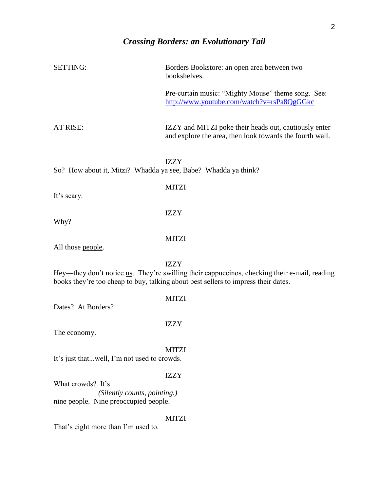| <b>SETTING:</b>                                                | Borders Bookstore: an open area between two<br>bookshelves.                                                                                                                                       |
|----------------------------------------------------------------|---------------------------------------------------------------------------------------------------------------------------------------------------------------------------------------------------|
|                                                                | Pre-curtain music: "Mighty Mouse" theme song. See:<br>http://www.youtube.com/watch?v=rsPa8QgGGkc                                                                                                  |
| AT RISE:                                                       | IZZY and MITZI poke their heads out, cautiously enter<br>and explore the area, then look towards the fourth wall.                                                                                 |
| So? How about it, Mitzi? Whadda ya see, Babe? Whadda ya think? | <b>IZZY</b>                                                                                                                                                                                       |
| It's scary.                                                    | <b>MITZI</b>                                                                                                                                                                                      |
| Why?                                                           | <b>IZZY</b>                                                                                                                                                                                       |
| All those people.                                              | <b>MITZI</b>                                                                                                                                                                                      |
|                                                                | <b>IZZY</b><br>Hey—they don't notice us. They're swilling their cappuccinos, checking their e-mail, reading<br>books they're too cheap to buy, talking about best sellers to impress their dates. |
| Dates? At Borders?                                             | <b>MITZI</b>                                                                                                                                                                                      |
| The economy.                                                   | <b>IZZY</b>                                                                                                                                                                                       |
| It's just thatwell, I'm not used to crowds.                    | <b>MITZI</b>                                                                                                                                                                                      |
| What crowds? It's<br>(Silently counts, pointing.)              | <b>IZZY</b>                                                                                                                                                                                       |
| nine people. Nine preoccupied people.                          |                                                                                                                                                                                                   |
| That's eight more than I'm used to.                            | <b>MITZI</b>                                                                                                                                                                                      |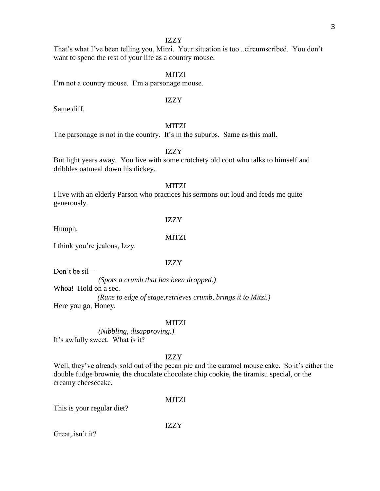That's what I've been telling you, Mitzi. Your situation is too...circumscribed. You don't want to spend the rest of your life as a country mouse.

# MITZI

I'm not a country mouse. I'm a parsonage mouse.

#### IZZY

Same diff.

# MITZI

The parsonage is not in the country. It's in the suburbs. Same as this mall.

# IZZY

But light years away. You live with some crotchety old coot who talks to himself and dribbles oatmeal down his dickey.

# **MITZI**

I live with an elderly Parson who practices his sermons out loud and feeds me quite generously.

Humph.

IZZY

**MITZI** 

I think you're jealous, Izzy.

# IZZY

Don't be sil—

*(Spots a crumb that has been dropped.)* Whoa! Hold on a sec. *(Runs to edge of stage,retrieves crumb, brings it to Mitzi.)* Here you go, Honey.

#### **MITZI**

*(Nibbling, disapproving.)* It's awfully sweet. What is it?

# IZZY

Well, they've already sold out of the pecan pie and the caramel mouse cake. So it's either the double fudge brownie, the chocolate chocolate chip cookie, the tiramisu special, or the creamy cheesecake.

# MITZI

This is your regular diet?

IZZY

Great, isn't it?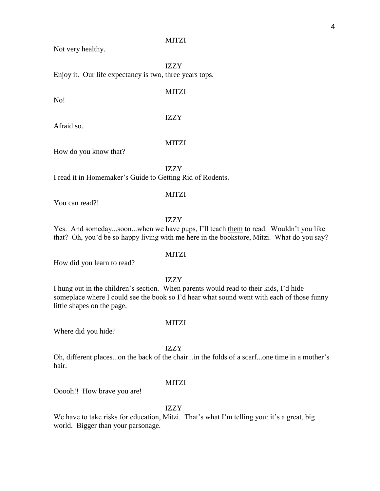#### MITZI

Not very healthy.

IZZY Enjoy it. Our life expectancy is two, three years tops.

MITZI

No!

IZZY

Afraid so.

# MITZI

How do you know that?

IZZY

I read it in Homemaker's Guide to Getting Rid of Rodents.

# MITZI

You can read?!

# IZZY

Yes. And someday...soon...when we have pups, I'll teach them to read. Wouldn't you like that? Oh, you'd be so happy living with me here in the bookstore, Mitzi. What do you say?

How did you learn to read?

IZZY

**MITZI** 

I hung out in the children's section. When parents would read to their kids, I'd hide someplace where I could see the book so I'd hear what sound went with each of those funny little shapes on the page.

#### **MITZI**

Where did you hide?

IZZY

Oh, different places...on the back of the chair...in the folds of a scarf...one time in a mother's hair.

# **MITZI**

Ooooh!! How brave you are!

# IZZY

We have to take risks for education, Mitzi. That's what I'm telling you: it's a great, big world. Bigger than your parsonage.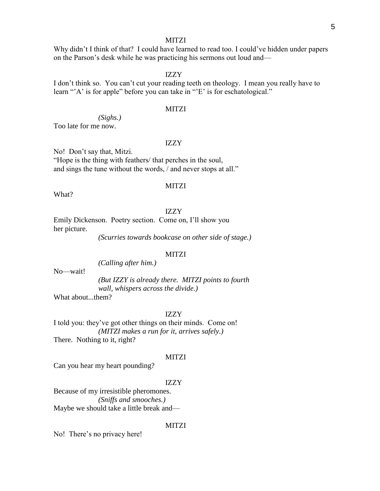# MITZI

Why didn't I think of that? I could have learned to read too. I could've hidden under papers on the Parson's desk while he was practicing his sermons out loud and—

#### IZZY

I don't think so. You can't cut your reading teeth on theology. I mean you really have to learn "'A' is for apple" before you can take in "'E' is for eschatological."

# **MITZI**

*(Sighs.)*

Too late for me now.

# IZZY

No! Don't say that, Mitzi. "Hope is the thing with feathers/ that perches in the soul, and sings the tune without the words, / and never stops at all."

#### MITZI

What?

# IZZY

Emily Dickenson. Poetry section. Come on, I'll show you her picture.

*(Scurries towards bookcase on other side of stage.)*

# **MITZI**

*(Calling after him.)*

No—wait!

*(But IZZY is already there. MITZI points to fourth wall, whispers across the divide.)*

What about...them?

IZZY

I told you: they've got other things on their minds. Come on! *(MITZI makes a run for it, arrives safely.)* There. Nothing to it, right?

#### MITZI

Can you hear my heart pounding?

# IZZY

Because of my irresistible pheromones. *(Sniffs and smooches.)* Maybe we should take a little break and—

#### MITZI

No! There's no privacy here!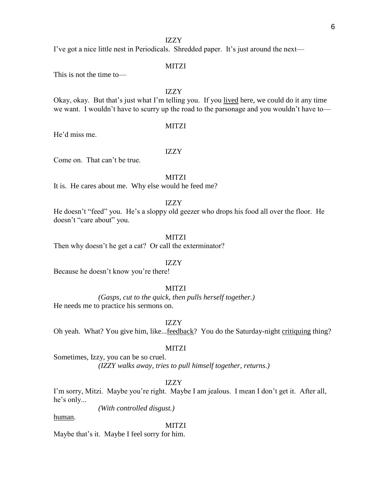I've got a nice little nest in Periodicals. Shredded paper. It's just around the next—

# **MITZI**

This is not the time to—

IZZY

Okay, okay. But that's just what I'm telling you. If you lived here, we could do it any time we want. I wouldn't have to scurry up the road to the parsonage and you wouldn't have to—

#### MITZI

He'd miss me.

# IZZY

Come on. That can't be true.

MITZI

It is. He cares about me. Why else would he feed me?

#### IZZY

He doesn't "feed" you. He's a sloppy old geezer who drops his food all over the floor. He doesn't "care about" you.

# **MITZI**

Then why doesn't he get a cat? Or call the exterminator?

# IZZY

Because he doesn't know you're there!

# **MITZI**

*(Gasps, cut to the quick, then pulls herself together.)* He needs me to practice his sermons on.

IZZY

Oh yeah. What? You give him, like...feedback? You do the Saturday-night critiquing thing?

# MITZI

Sometimes, Izzy, you can be so cruel. *(IZZY walks away, tries to pull himself together, returns.)*

# IZZY

I'm sorry, Mitzi. Maybe you're right. Maybe I am jealous. I mean I don't get it. After all, he's only...

*(With controlled disgust.)*

#### human.

#### **MITZI**

Maybe that's it. Maybe I feel sorry for him.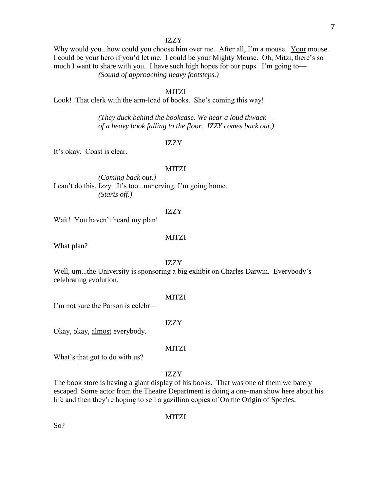Why would you...how could you choose him over me. After all, I'm a mouse. Your mouse. I could be your hero if you'd let me. I could be your Mighty Mouse. Oh, Mitzi, there's so much I want to share with you. I have such high hopes for our pups. I'm going to— *(Sound of approaching heavy footsteps.)*

# MITZI

Look! That clerk with the arm-load of books. She's coming this way!

*(They duck behind the bookcase. We hear a loud thwack of a heavy book falling to the floor. IZZY comes back out.)*

# IZZY

It's okay. Coast is clear.

#### MITZI

*(Coming back out.)* I can't do this, Izzy. It's too...unnerving. I'm going home. *(Starts off.)*

### IZZY

Wait! You haven't heard my plan!

# **MITZI**

What plan?

#### IZZY

Well, um...the University is sponsoring a big exhibit on Charles Darwin. Everybody's celebrating evolution.

**MITZI** 

I'm not sure the Parson is celebr—

IZZY

Okay, okay, almost everybody.

MITZI

What's that got to do with us?

# IZZY

The book store is having a giant display of his books. That was one of them we barely escaped. Some actor from the Theatre Department is doing a one-man show here about his life and then they're hoping to sell a gazillion copies of On the Origin of Species.

MITZI

So?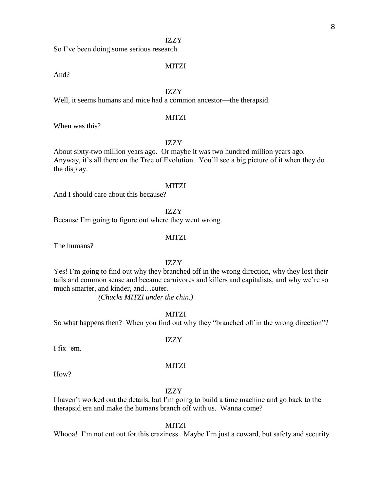So I've been doing some serious research.

# **MITZI**

And?

# IZZY

Well, it seems humans and mice had a common ancestor—the therapsid.

# MITZI

When was this?

# IZZY

About sixty-two million years ago. Or maybe it was two hundred million years ago. Anyway, it's all there on the Tree of Evolution. You'll see a big picture of it when they do the display.

# MITZI

And I should care about this because?

IZZY

Because I'm going to figure out where they went wrong.

# **MITZI**

The humans?

# IZZY

Yes! I'm going to find out why they branched off in the wrong direction, why they lost their tails and common sense and became carnivores and killers and capitalists, and why we're so much smarter, and kinder, and…cuter.

*(Chucks MITZI under the chin.)*

# MITZI

So what happens then? When you find out why they "branched off in the wrong direction"?

# IZZY

I fix 'em.

#### **MITZI**

How?

#### IZZY

I haven't worked out the details, but I'm going to build a time machine and go back to the therapsid era and make the humans branch off with us. Wanna come?

**MITZI** 

Whooa! I'm not cut out for this craziness. Maybe I'm just a coward, but safety and security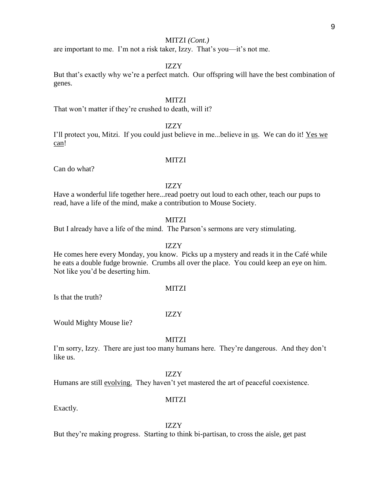# MITZI *(Cont.)*

are important to me. I'm not a risk taker, Izzy. That's you—it's not me.

# IZZY

But that's exactly why we're a perfect match. Our offspring will have the best combination of genes.

# **MITZI**

That won't matter if they're crushed to death, will it?

# IZZY

I'll protect you, Mitzi. If you could just believe in me...believe in us. We can do it! Yes we can!

# MITZI

Can do what?

# IZZY

Have a wonderful life together here...read poetry out loud to each other, teach our pups to read, have a life of the mind, make a contribution to Mouse Society.

#### MITZI

But I already have a life of the mind. The Parson's sermons are very stimulating.

# IZZY

He comes here every Monday, you know. Picks up a mystery and reads it in the Café while he eats a double fudge brownie. Crumbs all over the place. You could keep an eye on him. Not like you'd be deserting him.

# **MITZI**

Is that the truth?

#### IZZY

Would Mighty Mouse lie?

#### MITZI

I'm sorry, Izzy. There are just too many humans here. They're dangerous. And they don't like us.

# IZZY

Humans are still evolving. They haven't yet mastered the art of peaceful coexistence.

# **MITZI**

Exactly.

#### IZZY

But they're making progress. Starting to think bi-partisan, to cross the aisle, get past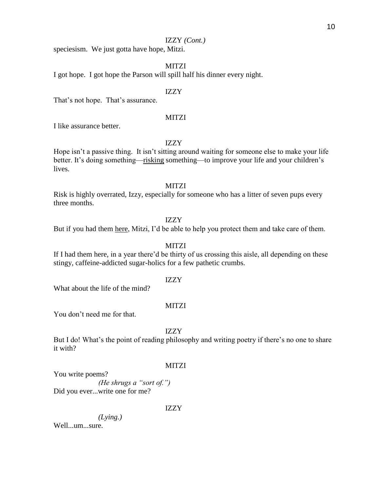# IZZY *(Cont.)*

speciesism. We just gotta have hope, Mitzi.

# **MITZI**

I got hope. I got hope the Parson will spill half his dinner every night.

# IZZY

That's not hope. That's assurance.

# **MITZI**

I like assurance better.

# IZZY

Hope isn't a passive thing. It isn't sitting around waiting for someone else to make your life better. It's doing something—risking something—to improve your life and your children's lives.

# **MITZI**

Risk is highly overrated, Izzy, especially for someone who has a litter of seven pups every three months.

# IZZY

But if you had them here, Mitzi, I'd be able to help you protect them and take care of them.

### MITZI

If I had them here, in a year there'd be thirty of us crossing this aisle, all depending on these stingy, caffeine-addicted sugar-holics for a few pathetic crumbs.

# IZZY

What about the life of the mind?

#### MITZI

You don't need me for that.

### IZZY

But I do! What's the point of reading philosophy and writing poetry if there's no one to share it with?

#### **MITZI**

You write poems? *(He shrugs a "sort of.")* Did you ever...write one for me?

# IZZY

*(Lying.)* Well...um...sure.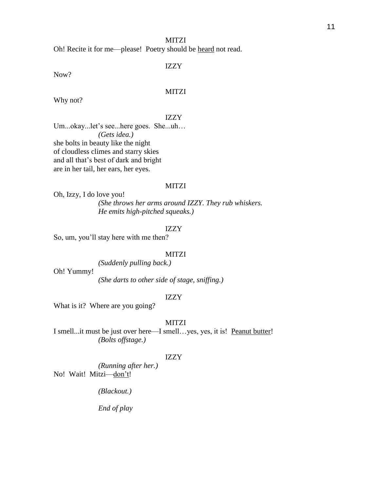# MITZI

Oh! Recite it for me—please! Poetry should be heard not read.

# IZZY

Now?

# MITZI

Why not?

# IZZY

Um...okay...let's see...here goes. She...uh… *(Gets idea.)* she bolts in beauty like the night of cloudless climes and starry skies and all that's best of dark and bright are in her tail, her ears, her eyes.

# MITZI

Oh, Izzy, I do love you! *(She throws her arms around IZZY. They rub whiskers. He emits high-pitched squeaks.)*

# IZZY

So, um, you'll stay here with me then?

### MITZI

*(Suddenly pulling back.)*

Oh! Yummy!

*(She darts to other side of stage, sniffing.)*

# IZZY

What is it? Where are you going?

# **MITZI**

I smell...it must be just over here—I smell…yes, yes, it is! Peanut butter! *(Bolts offstage.)*

# IZZY

*(Running after her.)* No! Wait! Mitzi—don't!

*(Blackout.)*

*End of play*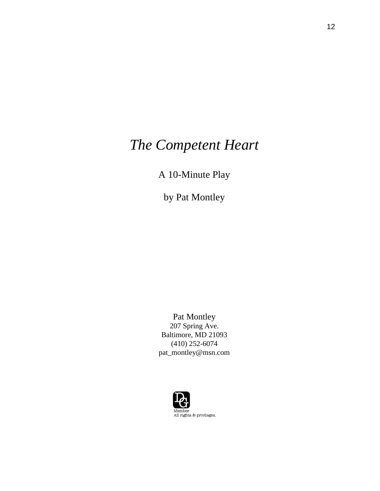# *The Competent Heart*

A 10-Minute Play

by Pat Montley

Pat Montley 207 Spring Ave. Baltimore, MD 21093 (410) 252-6074 pat\_montley@msn.com

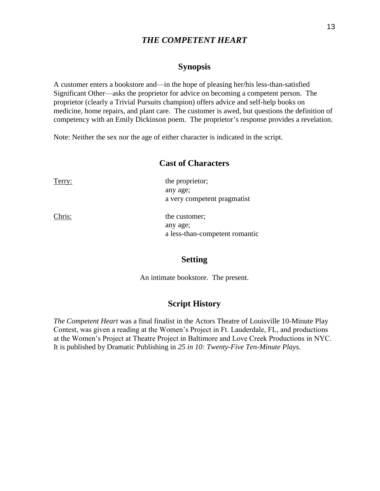# *THE COMPETENT HEART*

# **Synopsis**

A customer enters a bookstore and—in the hope of pleasing her/his less-than-satisfied Significant Other—asks the proprietor for advice on becoming a competent person. The proprietor (clearly a Trivial Pursuits champion) offers advice and self-help books on medicine, home repairs, and plant care. The customer is awed, but questions the definition of competency with an Emily Dickinson poem. The proprietor's response provides a revelation.

Note: Neither the sex nor the age of either character is indicated in the script.

# **Cast of Characters**

Terry: the proprietor; any age; a very competent pragmatist

Chris: the customer; any age; a less-than-competent romantic

# **Setting**

An intimate bookstore. The present.

# **Script History**

*The Competent Heart* was a final finalist in the Actors Theatre of Louisville 10-Minute Play Contest, was given a reading at the Women's Project in Ft. Lauderdale, FL, and productions at the Women's Project at Theatre Project in Baltimore and Love Creek Productions in NYC. It is published by Dramatic Publishing in *25 in 10: Twenty-Five Ten-Minute Plays.*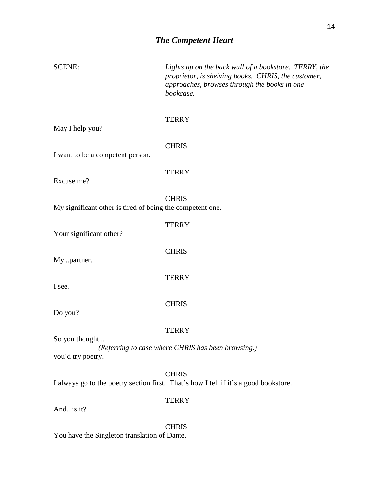# *The Competent Heart*

| <b>SCENE:</b>                                             | Lights up on the back wall of a bookstore. TERRY, the<br>proprietor, is shelving books. CHRIS, the customer,<br>approaches, browses through the books in one<br>bookcase. |
|-----------------------------------------------------------|---------------------------------------------------------------------------------------------------------------------------------------------------------------------------|
| May I help you?                                           | <b>TERRY</b>                                                                                                                                                              |
| I want to be a competent person.                          | <b>CHRIS</b>                                                                                                                                                              |
| Excuse me?                                                | <b>TERRY</b>                                                                                                                                                              |
| My significant other is tired of being the competent one. | <b>CHRIS</b>                                                                                                                                                              |
| Your significant other?                                   | <b>TERRY</b>                                                                                                                                                              |
| Mypartner.                                                | <b>CHRIS</b>                                                                                                                                                              |
| I see.                                                    | <b>TERRY</b>                                                                                                                                                              |
| Do you?                                                   | <b>CHRIS</b>                                                                                                                                                              |
| So you thought                                            | <b>TERRY</b><br>(Referring to case where CHRIS has been browsing.)                                                                                                        |
| you'd try poetry.                                         |                                                                                                                                                                           |
|                                                           | <b>CHRIS</b><br>I always go to the poetry section first. That's how I tell if it's a good bookstore.                                                                      |
| Andis it?                                                 | <b>TERRY</b>                                                                                                                                                              |

CHRIS You have the Singleton translation of Dante.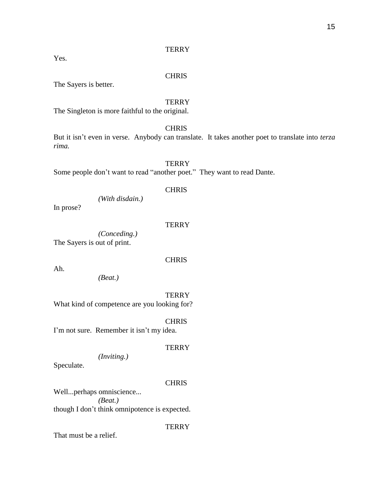Yes.

# **CHRIS**

The Sayers is better.

# **TERRY**

The Singleton is more faithful to the original.

# **CHRIS**

But it isn't even in verse. Anybody can translate. It takes another poet to translate into *terza rima.* 

**TERRY** 

Some people don't want to read "another poet." They want to read Dante.

# CHRIS

*(With disdain.)* 

In prose?

# **TERRY**

*(Conceding.)* The Sayers is out of print.

**CHRIS** 

Ah.

*(Beat.)* 

**TERRY** 

What kind of competence are you looking for?

CHRIS

I'm not sure. Remember it isn't my idea.

# **TERRY**

*(Inviting.)* 

Speculate.

# **CHRIS**

Well...perhaps omniscience... *(Beat.)*  though I don't think omnipotence is expected.

**TERRY** 

That must be a relief.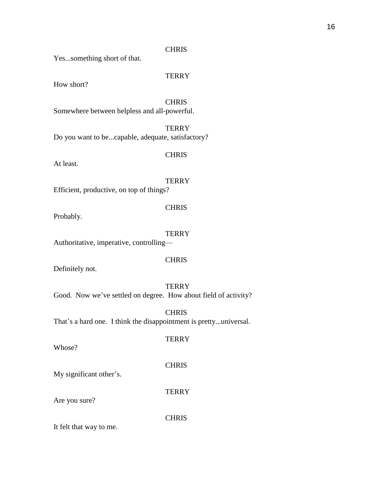# CHRIS

Yes...something short of that.

# **TERRY**

How short?

CHRIS Somewhere between helpless and all-powerful.

**TERRY** Do you want to be...capable, adequate, satisfactory?

# CHRIS

At least.

# **TERRY**

Efficient, productive, on top of things?

# **CHRIS**

Probably.

# **TERRY**

Authoritative, imperative, controlling—

# **CHRIS**

Definitely not.

# **TERRY**

**TERRY** 

Good. Now we've settled on degree. How about field of activity?

**CHRIS** That's a hard one. I think the disappointment is pretty...universal.

Whose?

My significant other's.

**TERRY** 

**CHRIS** 

**CHRIS** 

Are you sure?

It felt that way to me.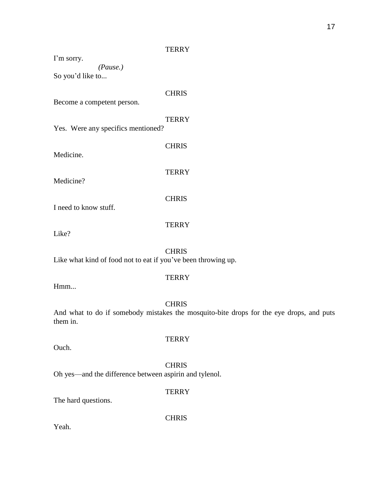I'm sorry. *(Pause.)* So you'd like to...

**CHRIS** Become a competent person.

**TERRY** 

Yes. Were any specifics mentioned?

CHRIS Medicine. **TERRY** Medicine? **CHRIS** I need to know stuff.

Like?

**TERRY** 

CHRIS

Like what kind of food not to eat if you've been throwing up.

Hmm...

# **CHRIS**

**TERRY** 

And what to do if somebody mistakes the mosquito-bite drops for the eye drops, and puts them in.

Ouch.

# **CHRIS**

**TERRY** 

Oh yes—and the difference between aspirin and tylenol.

**TERRY** 

The hard questions.

**CHRIS** 

Yeah.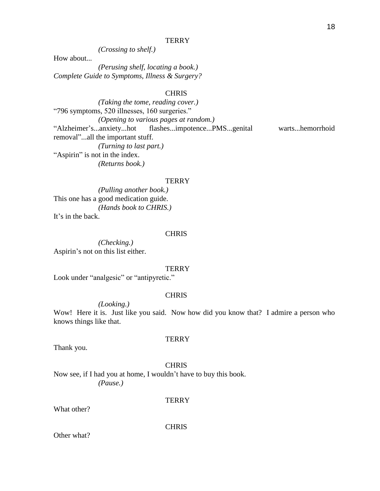*(Crossing to shelf.)* 

How about...

*(Perusing shelf, locating a book.) Complete Guide to Symptoms, Illness & Surgery?* 

# **CHRIS**

*(Taking the tome, reading cover.)*  "796 symptoms, 520 illnesses, 160 surgeries." *(Opening to various pages at random.)*  "Alzheimer's...anxiety...hot flashes...impotence...PMS...genital warts...hemorrhoid removal"...all the important stuff. *(Turning to last part.)*  "Aspirin" is not in the index. *(Returns book.)* 

#### **TERRY**

*(Pulling another book.)*  This one has a good medication guide. *(Hands book to CHRIS.)*  It's in the back.

# CHRIS

*(Checking.)*  Aspirin's not on this list either.

#### **TERRY**

Look under "analgesic" or "antipyretic."

# CHRIS

*(Looking.)* 

Wow! Here it is. Just like you said. Now how did you know that? I admire a person who knows things like that.

Thank you.

# CHRIS

**TERRY** 

Now see, if I had you at home, I wouldn't have to buy this book. *(Pause.)* 

**TERRY** 

What other?

CHRIS

Other what?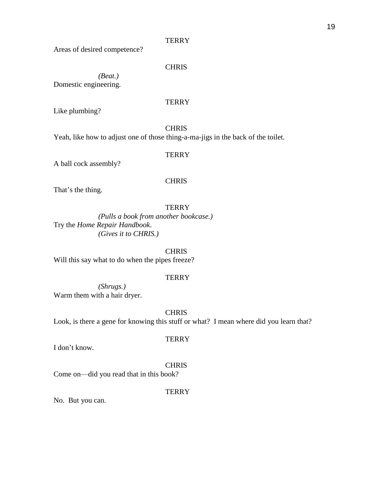Areas of desired competence?

# **CHRIS**

*(Beat.)*  Domestic engineering.

# **TERRY**

Like plumbing?

# **CHRIS**

Yeah, like how to adjust one of those thing-a-ma-jigs in the back of the toilet.

# **TERRY**

A ball cock assembly?

# **CHRIS**

That's the thing.

# **TERRY**

*(Pulls a book from another bookcase.)*  Try the *Home Repair Handbook*. *(Gives it to CHRIS.)* 

CHRIS Will this say what to do when the pipes freeze?

# **TERRY**

*(Shrugs.)*  Warm them with a hair dryer.

# CHRIS

Look, is there a gene for knowing this stuff or what? I mean where did you learn that?

I don't know.

# **CHRIS**

**TERRY** 

Come on—did you read that in this book?

# **TERRY**

No. But you can.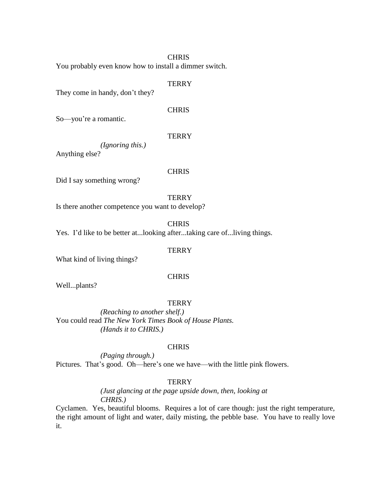# **CHRIS**

You probably even know how to install a dimmer switch.

# **TERRY**

They come in handy, don't they?

# **CHRIS**

So—you're a romantic.

# **TERRY**

*(Ignoring this.)*  Anything else?

# **CHRIS**

Did I say something wrong?

# **TERRY**

Is there another competence you want to develop?

**CHRIS** 

Yes. I'd like to be better at...looking after...taking care of...living things.

# **TERRY**

What kind of living things?

# **CHRIS**

Well...plants?

# **TERRY**

*(Reaching to another shelf.)*  You could read *The New York Times Book of House Plants. (Hands it to CHRIS.)* 

#### **CHRIS**

*(Paging through.)*  Pictures. That's good. Oh—here's one we have—with the little pink flowers.

# **TERRY**

*(Just glancing at the page upside down, then, looking at CHRIS.)* 

Cyclamen. Yes, beautiful blooms. Requires a lot of care though: just the right temperature, the right amount of light and water, daily misting, the pebble base. You have to really love it.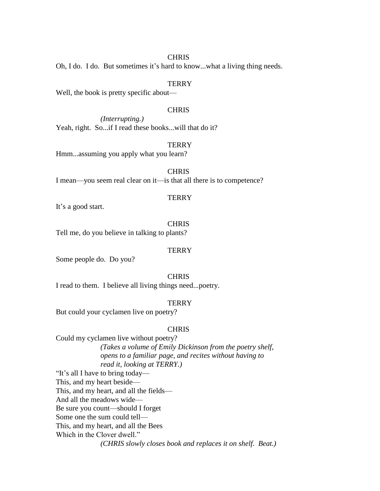# **CHRIS**

Oh, I do. I do. But sometimes it's hard to know...what a living thing needs.

# **TERRY**

Well, the book is pretty specific about—

# **CHRIS**

*(Interrupting.)*  Yeah, right. So...if I read these books...will that do it?

# **TERRY**

Hmm...assuming you apply what you learn?

**CHRIS** 

I mean—you seem real clear on it—is that all there is to competence?

# **TERRY**

It's a good start.

# **CHRIS**

Tell me, do you believe in talking to plants?

# **TERRY**

Some people do. Do you?

# **CHRIS**

I read to them. I believe all living things need...poetry.

# **TERRY**

But could your cyclamen live on poetry?

#### **CHRIS**

Could my cyclamen live without poetry? *(Takes a volume of Emily Dickinson from the poetry shelf, opens to a familiar page, and recites without having to read it, looking at TERRY.)*  "It's all I have to bring today— This, and my heart beside—

This, and my heart, and all the fields—

And all the meadows wide—

Be sure you count—should I forget

Some one the sum could tell—

This, and my heart, and all the Bees

Which in the Clover dwell."

*(CHRIS slowly closes book and replaces it on shelf. Beat.)*